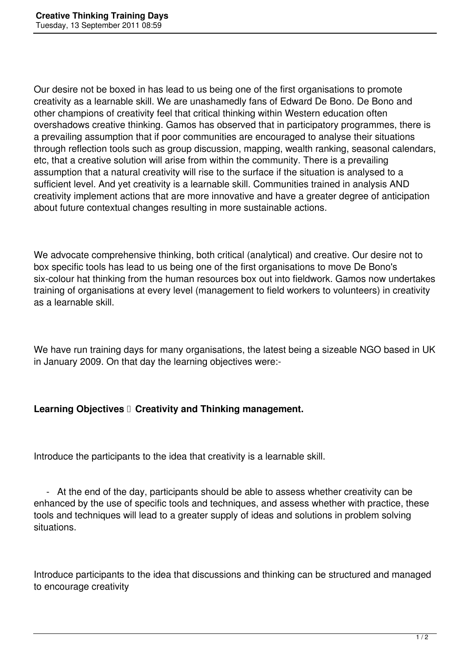Our desire not be boxed in has lead to us being one of the first organisations to promote creativity as a learnable skill. We are unashamedly fans of Edward De Bono. De Bono and other champions of creativity feel that critical thinking within Western education often overshadows creative thinking. Gamos has observed that in participatory programmes, there is a prevailing assumption that if poor communities are encouraged to analyse their situations through reflection tools such as group discussion, mapping, wealth ranking, seasonal calendars, etc, that a creative solution will arise from within the community. There is a prevailing assumption that a natural creativity will rise to the surface if the situation is analysed to a sufficient level. And yet creativity is a learnable skill. Communities trained in analysis AND creativity implement actions that are more innovative and have a greater degree of anticipation about future contextual changes resulting in more sustainable actions.

We advocate comprehensive thinking, both critical (analytical) and creative. Our desire not to box specific tools has lead to us being one of the first organisations to move De Bono's six-colour hat thinking from the human resources box out into fieldwork. Gamos now undertakes training of organisations at every level (management to field workers to volunteers) in creativity as a learnable skill.

We have run training days for many organisations, the latest being a sizeable NGO based in UK in January 2009. On that day the learning objectives were:-

## Learning Objectives **C** Creativity and Thinking management.

Introduce the participants to the idea that creativity is a learnable skill.

 - At the end of the day, participants should be able to assess whether creativity can be enhanced by the use of specific tools and techniques, and assess whether with practice, these tools and techniques will lead to a greater supply of ideas and solutions in problem solving situations.

Introduce participants to the idea that discussions and thinking can be structured and managed to encourage creativity